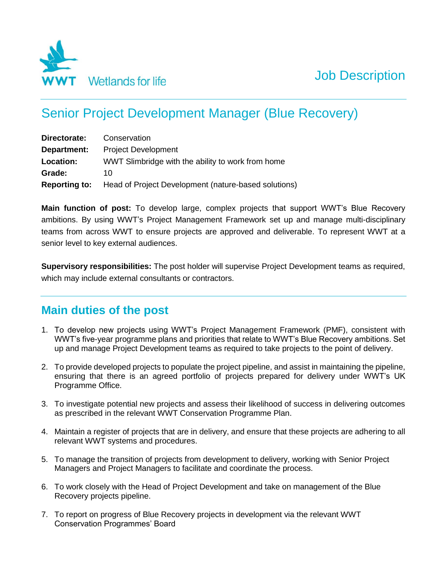

# Senior Project Development Manager (Blue Recovery)

| Directorate:         | Conservation                                         |
|----------------------|------------------------------------------------------|
| Department:          | <b>Project Development</b>                           |
| Location:            | WWT Slimbridge with the ability to work from home    |
| Grade:               | 10                                                   |
| <b>Reporting to:</b> | Head of Project Development (nature-based solutions) |

**Main function of post:** To develop large, complex projects that support WWT's Blue Recovery ambitions. By using WWT's Project Management Framework set up and manage multi-disciplinary teams from across WWT to ensure projects are approved and deliverable. To represent WWT at a senior level to key external audiences.

**Supervisory responsibilities:** The post holder will supervise Project Development teams as required, which may include external consultants or contractors.

# **Main duties of the post**

- 1. To develop new projects using WWT's Project Management Framework (PMF), consistent with WWT's five-year programme plans and priorities that relate to WWT's Blue Recovery ambitions. Set up and manage Project Development teams as required to take projects to the point of delivery.
- 2. To provide developed projects to populate the project pipeline, and assist in maintaining the pipeline, ensuring that there is an agreed portfolio of projects prepared for delivery under WWT's UK Programme Office.
- 3. To investigate potential new projects and assess their likelihood of success in delivering outcomes as prescribed in the relevant WWT Conservation Programme Plan.
- 4. Maintain a register of projects that are in delivery, and ensure that these projects are adhering to all relevant WWT systems and procedures.
- 5. To manage the transition of projects from development to delivery, working with Senior Project Managers and Project Managers to facilitate and coordinate the process.
- 6. To work closely with the Head of Project Development and take on management of the Blue Recovery projects pipeline.
- 7. To report on progress of Blue Recovery projects in development via the relevant WWT Conservation Programmes' Board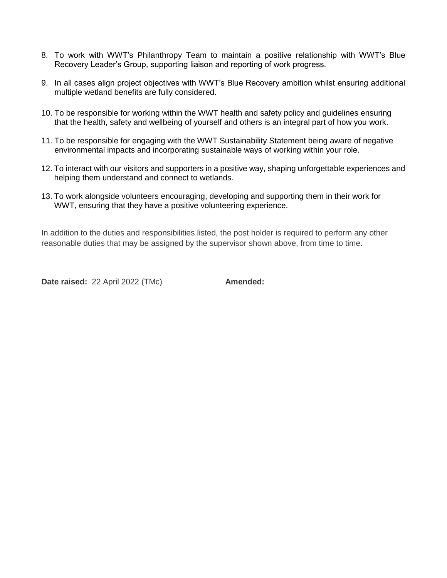- 8. To work with WWT's Philanthropy Team to maintain a positive relationship with WWT's Blue Recovery Leader's Group, supporting liaison and reporting of work progress.
- 9. In all cases align project objectives with WWT's Blue Recovery ambition whilst ensuring additional multiple wetland benefits are fully considered.
- 10. To be responsible for working within the WWT health and safety policy and guidelines ensuring that the health, safety and wellbeing of yourself and others is an integral part of how you work.
- 11. To be responsible for engaging with the WWT Sustainability Statement being aware of negative environmental impacts and incorporating sustainable ways of working within your role.
- 12. To interact with our visitors and supporters in a positive way, shaping unforgettable experiences and helping them understand and connect to wetlands.
- 13. To work alongside volunteers encouraging, developing and supporting them in their work for WWT, ensuring that they have a positive volunteering experience.

In addition to the duties and responsibilities listed, the post holder is required to perform any other reasonable duties that may be assigned by the supervisor shown above, from time to time.

**Date raised:** 22 April 2022 (TMc) **Amended:**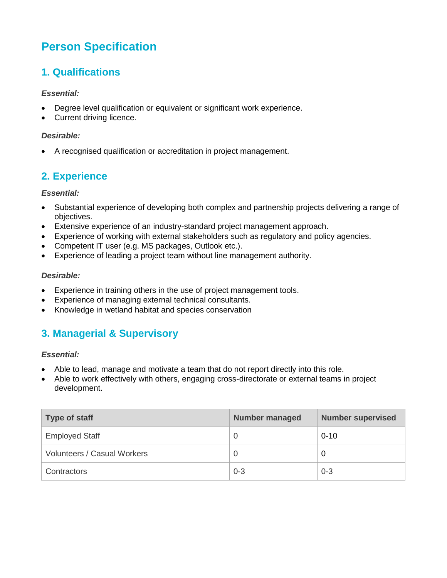# **Person Specification**

### **1. Qualifications**

#### *Essential:*

- Degree level qualification or equivalent or significant work experience.
- Current driving licence.

#### *Desirable:*

A recognised qualification or accreditation in project management.

### **2. Experience**

#### *Essential:*

- Substantial experience of developing both complex and partnership projects delivering a range of objectives.
- Extensive experience of an industry-standard project management approach.
- Experience of working with external stakeholders such as regulatory and policy agencies.
- Competent IT user (e.g. MS packages, Outlook etc.).
- Experience of leading a project team without line management authority.

#### *Desirable:*

- Experience in training others in the use of project management tools.
- Experience of managing external technical consultants.
- Knowledge in wetland habitat and species conservation

### **3. Managerial & Supervisory**

#### *Essential:*

- Able to lead, manage and motivate a team that do not report directly into this role.
- Able to work effectively with others, engaging cross-directorate or external teams in project development.

| Type of staff                      | <b>Number managed</b> | <b>Number supervised</b> |
|------------------------------------|-----------------------|--------------------------|
| <b>Employed Staff</b>              |                       | $0 - 10$                 |
| <b>Volunteers / Casual Workers</b> |                       | O                        |
| Contractors                        | $0 - 3$               | $0 - 3$                  |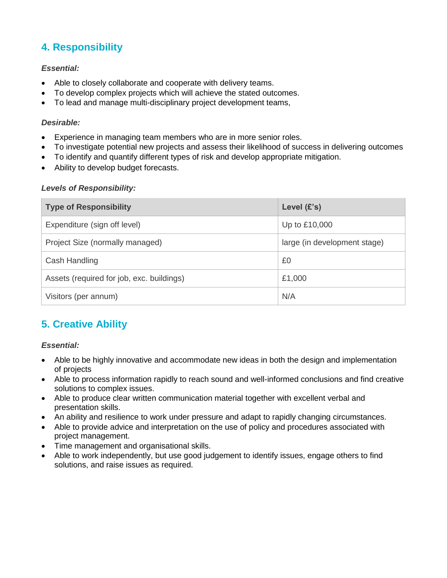## **4. Responsibility**

#### *Essential:*

- Able to closely collaborate and cooperate with delivery teams.
- To develop complex projects which will achieve the stated outcomes.
- To lead and manage multi-disciplinary project development teams,

#### *Desirable:*

- Experience in managing team members who are in more senior roles.
- To investigate potential new projects and assess their likelihood of success in delivering outcomes
- To identify and quantify different types of risk and develop appropriate mitigation.
- Ability to develop budget forecasts.

#### *Levels of Responsibility:*

| <b>Type of Responsibility</b>             | Level $(E's)$                |
|-------------------------------------------|------------------------------|
| Expenditure (sign off level)              | Up to £10,000                |
| Project Size (normally managed)           | large (in development stage) |
| Cash Handling                             | £0                           |
| Assets (required for job, exc. buildings) | £1,000                       |
| Visitors (per annum)                      | N/A                          |

## **5. Creative Ability**

#### *Essential:*

- Able to be highly innovative and accommodate new ideas in both the design and implementation of projects
- Able to process information rapidly to reach sound and well-informed conclusions and find creative solutions to complex issues.
- Able to produce clear written communication material together with excellent verbal and presentation skills.
- An ability and resilience to work under pressure and adapt to rapidly changing circumstances.
- Able to provide advice and interpretation on the use of policy and procedures associated with project management.
- Time management and organisational skills.
- Able to work independently, but use good judgement to identify issues, engage others to find solutions, and raise issues as required.